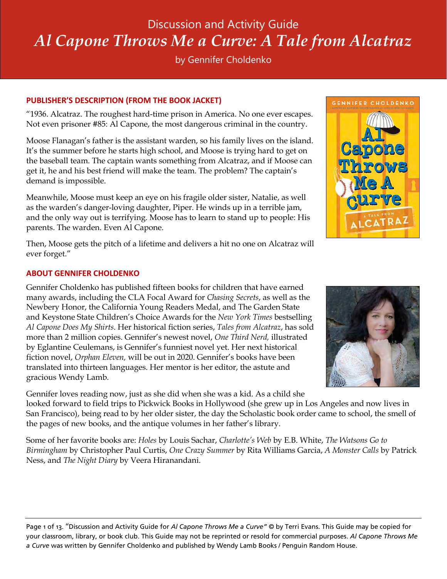# Discussion and Activity Guide *Al Capone Throws Me a Curve: A Tale from Alcatraz*

by Gennifer Choldenko

# **PUBLISHER'S DESCRIPTION (FROM THE BOOK JACKET)**

"1936. Alcatraz. The roughest hard-time prison in America. No one ever escapes. Not even prisoner #85: Al Capone, the most dangerous criminal in the country.

Moose Flanagan's father is the assistant warden, so his family lives on the island. It's the summer before he starts high school, and Moose is trying hard to get on the baseball team. The captain wants something from Alcatraz, and if Moose can get it, he and his best friend will make the team. The problem? The captain's demand is impossible.

Meanwhile, Moose must keep an eye on his fragile older sister, Natalie, as well as the warden's danger-loving daughter, Piper. He winds up in a terrible jam, and the only way out is terrifying. Moose has to learn to stand up to people: His parents. The warden. Even Al Capone.

Then, Moose gets the pitch of a lifetime and delivers a hit no one on Alcatraz will ever forget."

# **ABOUT GENNIFER CHOLDENKO**

Gennifer Choldenko has published fifteen books for children that have earned many awards, including the CLA Focal Award for *Chasing Secrets*, as well as the Newbery Honor, the California Young Readers Medal, and The Garden State and Keystone State Children's Choice Awards for the *New York Times* bestselling *Al Capone Does My Shirts*. Her historical fiction series, *Tales from Alcatraz*, has sold more than 2 million copies. Gennifer's newest novel, *One Third Nerd,* illustrated by Eglantine Ceulemans, is Gennifer's funniest novel yet. Her next historical fiction novel, *Orphan Eleven,* will be out in 2020. Gennifer's books have been translated into thirteen languages. Her mentor is her editor, the astute and gracious Wendy Lamb.

Gennifer loves reading now, just as she did when she was a kid. As a child she looked forward to field trips to Pickwick Books in Hollywood (she grew up in Los Angeles and now lives in San Francisco), being read to by her older sister, the day the Scholastic book order came to school, the smell of the pages of new books, and the antique volumes in her father's library.

Some of her favorite books are: *Holes* by Louis Sachar, *Charlotte's Web* by E.B. White, *The Watsons Go to Birmingham* by Christopher Paul Curtis, *One Crazy Summer* by Rita Williams Garcia, *A Monster Calls* by Patrick Ness, and *The Night Diary* by Veera Hiranandani.

Page 1 of 13. "Discussion and Activity Guide for *Al Capone Throws Me a Curve"* © by Terri Evans. This Guide may be copied for your classroom, library, or book club. This Guide may not be reprinted or resold for commercial purposes. *Al Capone Throws Me a Curve* was written by Gennifer Choldenko and published by Wendy Lamb Books / Penguin Random House.



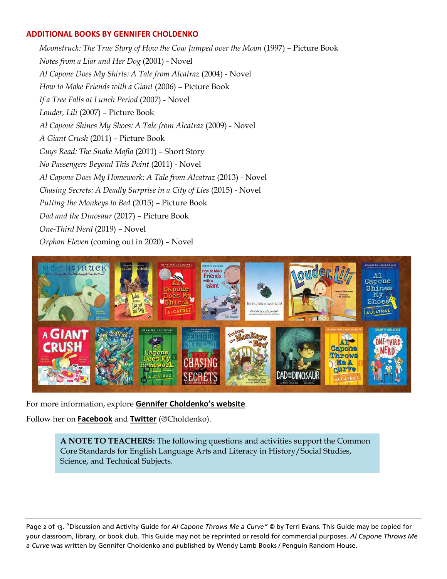#### **ADDITIONAL BOOKS BY GENNIFER CHOLDENKO**

*Moonstruck: The True Story of How the Cow Jumped over the Moon* (1997) – Picture Book *Notes from a Liar and Her Dog* (2001) - Novel *Al Capone Does My Shirts: A Tale from Alcatraz* (2004) - Novel *How to Make Friends with a Giant* (2006) – Picture Book *If a Tree Falls at Lunch Period* (2007) - Novel *Louder, Lili* (2007) – Picture Book *Al Capone Shines My Shoes: A Tale from Alcatraz* (2009) - Novel *A Giant Crush* (2011) – Picture Book *Guys Read: The Snake Mafia* (2011) – Short Story *No Passengers Beyond This Point* (2011) - Novel *Al Capone Does My Homework: A Tale from Alcatraz* (2013) - Novel *Chasing Secrets: A Deadly Surprise in a City of Lies* (2015) - Novel *Putting the Monkeys to Bed* (2015) – Picture Book *Dad and the Dinosaur* (2017) – Picture Book *One-Third Nerd* (2019) – Novel *Orphan Eleven* (coming out in 2020) – Novel



For more information, explore **[Gennifer Choldenko's website](https://www.gennifercholdenko.com/)**.

Follow her on **[Facebook](https://www.facebook.com/gennifer.choldenko)** and **[Twitter](https://twitter.com/choldenko)** (@Choldenko).

**A NOTE TO TEACHERS:** The following questions and activities support the Common Core Standards for English Language Arts and Literacy in History/Social Studies, Science, and Technical Subjects.

Page 2 of 13. "Discussion and Activity Guide for *Al Capone Throws Me a Curve"* © by Terri Evans. This Guide may be copied for your classroom, library, or book club. This Guide may not be reprinted or resold for commercial purposes. *Al Capone Throws Me a Curve* was written by Gennifer Choldenko and published by Wendy Lamb Books / Penguin Random House.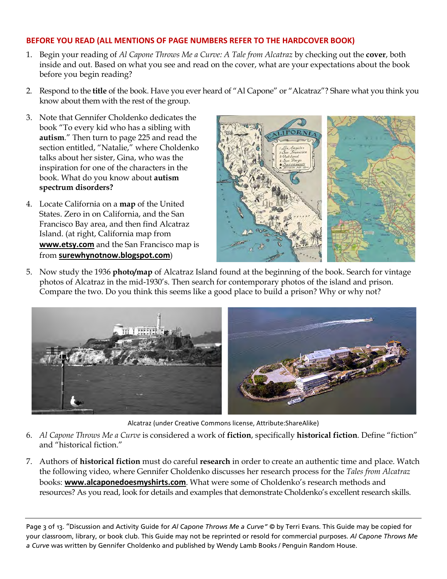# **BEFORE YOU READ (ALL MENTIONS OF PAGE NUMBERS REFER TO THE HARDCOVER BOOK)**

- 1. Begin your reading of *Al Capone Throws Me a Curve: A Tale from Alcatraz* by checking out the **cover**, both inside and out. Based on what you see and read on the cover, what are your expectations about the book before you begin reading?
- 2. Respond to the **title** of the book. Have you ever heard of "Al Capone" or "Alcatraz"? Share what you think you know about them with the rest of the group.
- 3. Note that Gennifer Choldenko dedicates the book "To every kid who has a sibling with **autism**." Then turn to page 225 and read the section entitled, "Natalie," where Choldenko talks about her sister, Gina, who was the inspiration for one of the characters in the book. What do you know about **autism spectrum disorders?**
- 4. Locate California on a **map** of the United States. Zero in on California, and the San Francisco Bay area, and then find Alcatraz Island. (at right, California map from **[www.etsy.com](https://www.etsy.com/listing/83662240/original-1931-california-map-vintage)** and the San Francisco map is from **[surewhynotnow.blogspot.com](http://surewhynotnow.blogspot.com/2017/11/november-bay-trip-part-6-downtown-san.html)**)



5. Now study the 1936 **photo/map** of Alcatraz Island found at the beginning of the book. Search for vintage photos of Alcatraz in the mid-1930's. Then search for contemporary photos of the island and prison. Compare the two. Do you think this seems like a good place to build a prison? Why or why not?



Alcatraz (under Creative Commons license, Attribute:ShareAlike)

- 6. *Al Capone Throws Me a Curve* is considered a work of **fiction**, specifically **historical fiction**. Define "fiction" and "historical fiction."
- 7. Authors of **historical fiction** must do careful **research** in order to create an authentic time and place. Watch the following video, where Gennifer Choldenko discusses her research process for the *Tales from Alcatraz* books: **[www.alcaponedoesmyshirts.com](https://www.alcaponedoesmyshirts.com/videos/How_I_Got_the_Idea.html)**. What were some of Choldenko's research methods and resources? As you read, look for details and examples that demonstrate Choldenko's excellent research skills.

Page 3 of 13. "Discussion and Activity Guide for *Al Capone Throws Me a Curve"* © by Terri Evans. This Guide may be copied for your classroom, library, or book club. This Guide may not be reprinted or resold for commercial purposes. *Al Capone Throws Me a Curve* was written by Gennifer Choldenko and published by Wendy Lamb Books / Penguin Random House.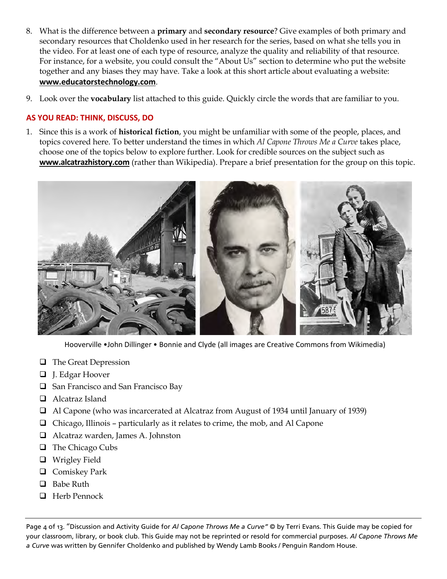- 8. What is the difference between a **primary** and **secondary resource**? Give examples of both primary and secondary resources that Choldenko used in her research for the series, based on what she tells you in the video. For at least one of each type of resource, analyze the quality and reliability of that resource. For instance, for a website, you could consult the "About Us" section to determine who put the website together and any biases they may have. Take a look at this short article about evaluating a website: **[www.educatorstechnology.com](http://www.educatorstechnology.com/2014/04/the-5-elements-students-should-look-for.html)**.
- 9. Look over the **vocabulary** list attached to this guide. Quickly circle the words that are familiar to you.

# **AS YOU READ: THINK, DISCUSS, DO**

1. Since this is a work of **historical fiction**, you might be unfamiliar with some of the people, places, and topics covered here. To better understand the times in which *Al Capone Throws Me a Curve* takes place, choose one of the topics below to explore further. Look for credible sources on the subject such as **[www.alcatrazhistory.com](http://www.alcatrazhistory.com/)** (rather than Wikipedia). Prepare a brief presentation for the group on this topic.



Hooverville •John Dillinger • Bonnie and Clyde (all images are Creative Commons from Wikimedia)

- □ The Great Depression
- J. Edgar Hoover
- $\Box$  San Francisco and San Francisco Bay
- □ Alcatraz Island
- Al Capone (who was incarcerated at Alcatraz from August of 1934 until January of 1939)
- $\Box$  Chicago, Illinois particularly as it relates to crime, the mob, and Al Capone
- Alcatraz warden, James A. Johnston
- $\Box$  The Chicago Cubs
- Wrigley Field
- □ Comiskey Park
- $\Box$  Babe Ruth
- □ Herb Pennock

Page 4 of 13. "Discussion and Activity Guide for *Al Capone Throws Me a Curve"* © by Terri Evans. This Guide may be copied for your classroom, library, or book club. This Guide may not be reprinted or resold for commercial purposes. *Al Capone Throws Me a Curve* was written by Gennifer Choldenko and published by Wendy Lamb Books / Penguin Random House.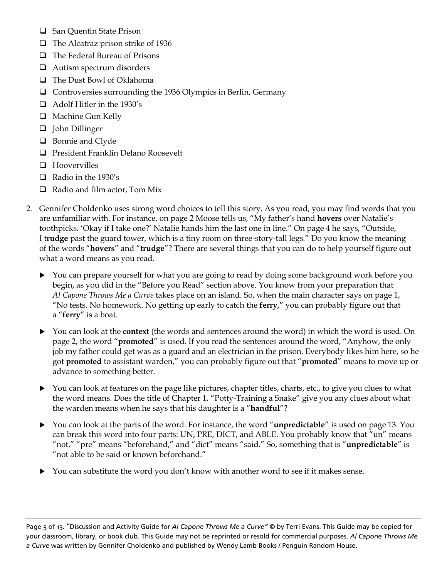- □ San Quentin State Prison
- $\Box$  The Alcatraz prison strike of 1936
- □ The Federal Bureau of Prisons
- □ Autism spectrum disorders
- □ The Dust Bowl of Oklahoma
- Controversies surrounding the 1936 Olympics in Berlin, Germany
- Adolf Hitler in the 1930's
- **Q** Machine Gun Kelly
- John Dillinger
- **Bonnie and Clyde**
- **Q** President Franklin Delano Roosevelt
- $\Box$  Hoovervilles
- $\Box$  Radio in the 1930's
- $\Box$  Radio and film actor, Tom Mix
- 2. Gennifer Choldenko uses strong word choices to tell this story. As you read, you may find words that you are unfamiliar with. For instance, on page 2 Moose tells us, "My father's hand **hovers** over Natalie's toothpicks. 'Okay if I take one?' Natalie hands him the last one in line." On page 4 he says, "Outside, I t**rudge** past the guard tower, which is a tiny room on three-story-tall legs." Do you know the meaning of the words "**hovers**" and "**trudge**"? There are several things that you can do to help yourself figure out what a word means as you read.
	- You can prepare yourself for what you are going to read by doing some background work before you begin, as you did in the "Before you Read" section above. You know from your preparation that *Al Capone Throws Me a Curve* takes place on an island. So, when the main character says on page 1, "No tests. No homework. No getting up early to catch the **ferry,"** you can probably figure out that a "**ferry**" is a boat.
	- You can look at the **context** (the words and sentences around the word) in which the word is used. On page 2, the word "**promoted**" is used. If you read the sentences around the word, "Anyhow, the only job my father could get was as a guard and an electrician in the prison. Everybody likes him here, so he got **promoted** to assistant warden," you can probably figure out that "**promoted**" means to move up or advance to something better.
	- You can look at features on the page like pictures, chapter titles, charts, etc., to give you clues to what the word means. Does the title of Chapter 1, "Potty-Training a Snake" give you any clues about what the warden means when he says that his daughter is a "**handful**"?
	- You can look at the parts of the word. For instance, the word "**unpredictable**" is used on page 13. You can break this word into four parts: UN, PRE, DICT, and ABLE. You probably know that "un" means "not," "pre" means "beforehand," and "dict" means "said." So, something that is "**unpredictable**" is "not able to be said or known beforehand."
	- You can substitute the word you don't know with another word to see if it makes sense.

Page 5 of 13. "Discussion and Activity Guide for *Al Capone Throws Me a Curve"* © by Terri Evans. This Guide may be copied for your classroom, library, or book club. This Guide may not be reprinted or resold for commercial purposes. *Al Capone Throws Me a Curve* was written by Gennifer Choldenko and published by Wendy Lamb Books / Penguin Random House.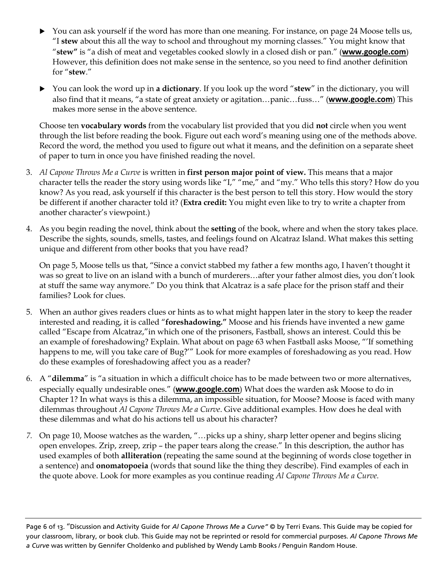- ▶ You can ask yourself if the word has more than one meaning. For instance, on page 24 Moose tells us, "I **stew** about this all the way to school and throughout my morning classes." You might know that "**stew"** is "a dish of meat and vegetables cooked slowly in a closed dish or pan." (**[www.google.com](https://www.google.com/search?q=deifne+stew&oq=deifne+stew&aqs=chrome..69i57j0l5.2130j1j7&sourceid=chrome&ie=UTF-8)**) However, this definition does not make sense in the sentence, so you need to find another definition for "**stew**."
- You can look the word up in **a dictionary**. If you look up the word "**stew**" in the dictionary, you will also find that it means, "a state of great anxiety or agitation…panic…fuss…" (**[www.google.com](https://www.google.com/search?q=deifne+stew&oq=deifne+stew&aqs=chrome..69i57j0l5.2130j1j7&sourceid=chrome&ie=UTF-8)**) This makes more sense in the above sentence.

Choose ten **vocabulary words** from the vocabulary list provided that you did **not** circle when you went through the list before reading the book. Figure out each word's meaning using one of the methods above. Record the word, the method you used to figure out what it means, and the definition on a separate sheet of paper to turn in once you have finished reading the novel.

- 3. *Al Capone Throws Me a Curve* is written in **first person major point of view.** This means that a major character tells the reader the story using words like "I," "me," and "my." Who tells this story? How do you know? As you read, ask yourself if this character is the best person to tell this story. How would the story be different if another character told it? (**Extra credit:** You might even like to try to write a chapter from another character's viewpoint.)
- 4. As you begin reading the novel, think about the **setting** of the book, where and when the story takes place. Describe the sights, sounds, smells, tastes, and feelings found on Alcatraz Island. What makes this setting unique and different from other books that you have read?

On page 5, Moose tells us that, "Since a convict stabbed my father a few months ago, I haven't thought it was so great to live on an island with a bunch of murderers…after your father almost dies, you don't look at stuff the same way anymore." Do you think that Alcatraz is a safe place for the prison staff and their families? Look for clues.

- 5. When an author gives readers clues or hints as to what might happen later in the story to keep the reader interested and reading, it is called "**foreshadowing."** Moose and his friends have invented a new game called "Escape from Alcatraz,"in which one of the prisoners, Fastball, shows an interest. Could this be an example of foreshadowing? Explain. What about on page 63 when Fastball asks Moose, "'If something happens to me, will you take care of Bug?'" Look for more examples of foreshadowing as you read. How do these examples of foreshadowing affect you as a reader?
- 6. A "**dilemma**" is "a situation in which a difficult choice has to be made between two or more alternatives, especially equally undesirable ones." (**[www.google.com](https://www.google.com/search?q=define+dilemna&oq=define+dilemna&aqs=chrome..69i57j0l5.2638j1j7&sourceid=chrome&ie=UTF-8)**) What does the warden ask Moose to do in Chapter 1? In what ways is this a dilemma, an impossible situation, for Moose? Moose is faced with many dilemmas throughout *Al Capone Throws Me a Curve*. Give additional examples. How does he deal with these dilemmas and what do his actions tell us about his character?
- *7.* On page 10, Moose watches as the warden, "…picks up a shiny, sharp letter opener and begins slicing open envelopes. Zrip, zreep, zrip – the paper tears along the crease." In this description, the author has used examples of both **alliteration** (repeating the same sound at the beginning of words close together in a sentence) and **onomatopoeia** (words that sound like the thing they describe). Find examples of each in the quote above. Look for more examples as you continue reading *Al Capone Throws Me a Curve.*

Page 6 of 13. "Discussion and Activity Guide for *Al Capone Throws Me a Curve"* © by Terri Evans. This Guide may be copied for your classroom, library, or book club. This Guide may not be reprinted or resold for commercial purposes. *Al Capone Throws Me a Curve* was written by Gennifer Choldenko and published by Wendy Lamb Books / Penguin Random House.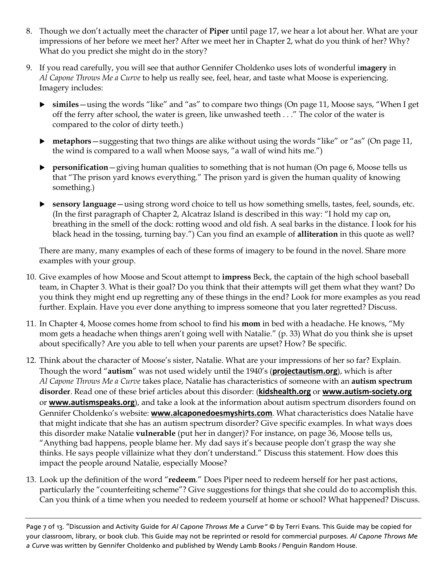- 8. Though we don't actually meet the character of **Piper** until page 17, we hear a lot about her. What are your impressions of her before we meet her? After we meet her in Chapter 2, what do you think of her? Why? What do you predict she might do in the story?
- 9. If you read carefully, you will see that author Gennifer Choldenko uses lots of wonderful i**magery** in *Al Capone Throws Me a Curve* to help us really see, feel, hear, and taste what Moose is experiencing. Imagery includes:
	- **similes**—using the words "like" and "as" to compare two things (On page 11, Moose says, "When I get off the ferry after school, the water is green, like unwashed teeth . . ." The color of the water is compared to the color of dirty teeth.)
	- **metaphors**—suggesting that two things are alike without using the words "like" or "as" (On page 11, the wind is compared to a wall when Moose says, "a wall of wind hits me.")
	- **Personification**—giving human qualities to something that is not human (On page 6, Moose tells us that "The prison yard knows everything." The prison yard is given the human quality of knowing something.)
	- **sensory language**—using strong word choice to tell us how something smells, tastes, feel, sounds, etc. (In the first paragraph of Chapter 2, Alcatraz Island is described in this way: "I hold my cap on, breathing in the smell of the dock: rotting wood and old fish. A seal barks in the distance. I look for his black head in the tossing, turning bay.") Can you find an example of **alliteration** in this quote as well?

There are many, many examples of each of these forms of imagery to be found in the novel. Share more examples with your group.

- 10. Give examples of how Moose and Scout attempt to **impress** Beck, the captain of the high school baseball team, in Chapter 3. What is their goal? Do you think that their attempts will get them what they want? Do you think they might end up regretting any of these things in the end? Look for more examples as you read further. Explain. Have you ever done anything to impress someone that you later regretted? Discuss.
- 11. In Chapter 4, Moose comes home from school to find his **mom** in bed with a headache. He knows, "My mom gets a headache when things aren't going well with Natalie." (p. 33) What do you think she is upset about specifically? Are you able to tell when your parents are upset? How? Be specific.
- 12. Think about the character of Moose's sister, Natalie. What are your impressions of her so far? Explain. Though the word "**autism**" was not used widely until the 1940's (**[projectautism.org](http://projectautism.org/history-of-autism)**), which is after *Al Capone Throws Me a Curve* takes place, Natalie has characteristics of someone with an **autism spectrum disorder**. Read one of these brief articles about this disorder: (**[kidshealth.org](https://kidshealth.org/en/kids/autism.html)** or **[www.autism-society.org](http://www.autism-society.org/what-is/)** or **[www.autismspeaks.org](https://www.autismspeaks.org/what-autism/from-first-concern-to-action/learn-signs)**), and take a look at the information about autism spectrum disorders found on Gennifer Choldenko's website: **[www.alcaponedoesmyshirts.com](https://www.alcaponedoesmyshirts.com/autism/autism01.html)**. What characteristics does Natalie have that might indicate that she has an autism spectrum disorder? Give specific examples. In what ways does this disorder make Natalie **vulnerable** (put her in danger)? For instance, on page 36, Moose tells us, "Anything bad happens, people blame her. My dad says it's because people don't grasp the way she thinks. He says people villainize what they don't understand." Discuss this statement. How does this impact the people around Natalie, especially Moose?
- 13. Look up the definition of the word "**redeem**." Does Piper need to redeem herself for her past actions, particularly the "counterfeiting scheme"? Give suggestions for things that she could do to accomplish this. Can you think of a time when you needed to redeem yourself at home or school? What happened? Discuss.

Page 7 of 13. "Discussion and Activity Guide for *Al Capone Throws Me a Curve"* © by Terri Evans. This Guide may be copied for your classroom, library, or book club. This Guide may not be reprinted or resold for commercial purposes. *Al Capone Throws Me a Curve* was written by Gennifer Choldenko and published by Wendy Lamb Books / Penguin Random House.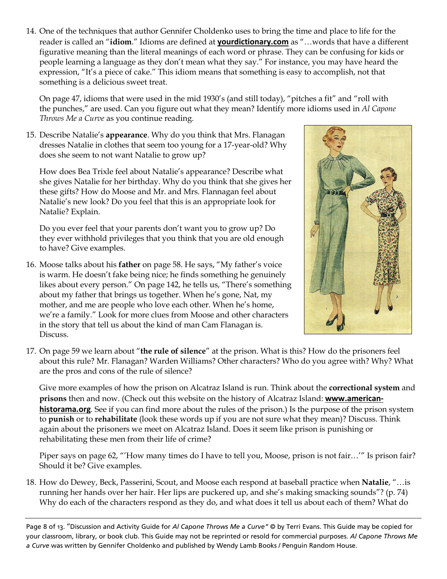14. One of the techniques that author Gennifer Choldenko uses to bring the time and place to life for the reader is called an "**idiom**." Idioms are defined at **[yourdictionary.com](http://examples.yourdictionary.com/idioms-for-kids.html)** as "…words that have a different figurative meaning than the literal meanings of each word or phrase. They can be confusing for kids or people learning a language as they don't mean what they say." For instance, you may have heard the expression, "It's a piece of cake." This idiom means that something is easy to accomplish, not that something is a delicious sweet treat.

On page 47, idioms that were used in the mid 1930's (and still today), "pitches a fit" and "roll with the punches," are used. Can you figure out what they mean? Identify more idioms used in *Al Capone Throws Me a Curve* as you continue reading.

15. Describe Natalie's **appearance**. Why do you think that Mrs. Flanagan dresses Natalie in clothes that seem too young for a 17-year-old? Why does she seem to not want Natalie to grow up?

How does Bea Trixle feel about Natalie's appearance? Describe what she gives Natalie for her birthday. Why do you think that she gives her these gifts? How do Moose and Mr. and Mrs. Flannagan feel about Natalie's new look? Do you feel that this is an appropriate look for Natalie? Explain.

Do you ever feel that your parents don't want you to grow up? Do they ever withhold privileges that you think that you are old enough to have? Give examples.

16. Moose talks about his **father** on page 58. He says, "My father's voice is warm. He doesn't fake being nice; he finds something he genuinely likes about every person." On page 142, he tells us, "There's something about my father that brings us together. When he's gone, Nat, my mother, and me are people who love each other. When he's home, we're a family." Look for more clues from Moose and other characters in the story that tell us about the kind of man Cam Flanagan is. Discuss.



17. On page 59 we learn about "**the rule of silence**" at the prison. What is this? How do the prisoners feel about this rule? Mr. Flanagan? Warden Williams? Other characters? Who do you agree with? Why? What are the pros and cons of the rule of silence?

Give more examples of how the prison on Alcatraz Island is run. Think about the **correctional system** and **prisons** then and now. (Check out this website on the history of Alcatraz Island: **[www.american](http://www.american-historama.org/1881-1913-maturation-era/alcatraz-prison-history.htm)[historama.org](http://www.american-historama.org/1881-1913-maturation-era/alcatraz-prison-history.htm)**. See if you can find more about the rules of the prison.) Is the purpose of the prison system to **punish** or to **rehabilitate** (look these words up if you are not sure what they mean)? Discuss. Think again about the prisoners we meet on Alcatraz Island. Does it seem like prison is punishing or rehabilitating these men from their life of crime?

Piper says on page 62, "'How many times do I have to tell you, Moose, prison is not fair…'" Is prison fair? Should it be? Give examples.

18. How do Dewey, Beck, Passerini, Scout, and Moose each respond at baseball practice when **Natalie**, "…is running her hands over her hair. Her lips are puckered up, and she's making smacking sounds"? (p. 74) Why do each of the characters respond as they do, and what does it tell us about each of them? What do

Page 8 of 13. "Discussion and Activity Guide for *Al Capone Throws Me a Curve"* © by Terri Evans. This Guide may be copied for your classroom, library, or book club. This Guide may not be reprinted or resold for commercial purposes. *Al Capone Throws Me a Curve* was written by Gennifer Choldenko and published by Wendy Lamb Books / Penguin Random House.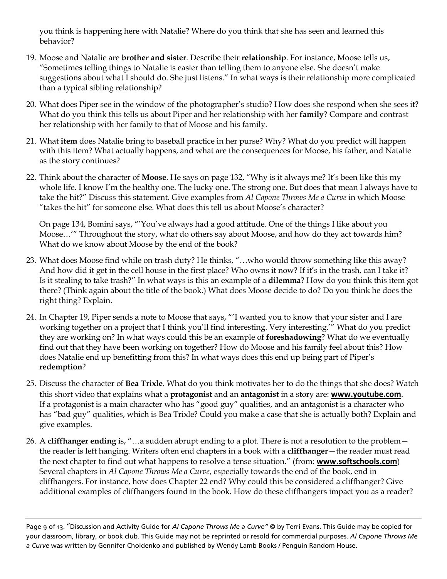you think is happening here with Natalie? Where do you think that she has seen and learned this behavior?

- 19. Moose and Natalie are **brother and sister**. Describe their **relationship**. For instance, Moose tells us, "Sometimes telling things to Natalie is easier than telling them to anyone else. She doesn't make suggestions about what I should do. She just listens." In what ways is their relationship more complicated than a typical sibling relationship?
- 20. What does Piper see in the window of the photographer's studio? How does she respond when she sees it? What do you think this tells us about Piper and her relationship with her **family**? Compare and contrast her relationship with her family to that of Moose and his family.
- 21. What **item** does Natalie bring to baseball practice in her purse? Why? What do you predict will happen with this item? What actually happens, and what are the consequences for Moose, his father, and Natalie as the story continues?
- 22. Think about the character of **Moose**. He says on page 132, "Why is it always me? It's been like this my whole life. I know I'm the healthy one. The lucky one. The strong one. But does that mean I always have to take the hit?" Discuss this statement. Give examples from *Al Capone Throws Me a Curve* in which Moose "takes the hit" for someone else. What does this tell us about Moose's character?

On page 134, Bomini says, "'You've always had a good attitude. One of the things I like about you Moose…'" Throughout the story, what do others say about Moose, and how do they act towards him? What do we know about Moose by the end of the book?

- 23. What does Moose find while on trash duty? He thinks, "…who would throw something like this away? And how did it get in the cell house in the first place? Who owns it now? If it's in the trash, can I take it? Is it stealing to take trash?" In what ways is this an example of a **dilemma**? How do you think this item got there? (Think again about the title of the book.) What does Moose decide to do? Do you think he does the right thing? Explain.
- 24. In Chapter 19, Piper sends a note to Moose that says, "'I wanted you to know that your sister and I are working together on a project that I think you'll find interesting. Very interesting.'" What do you predict they are working on? In what ways could this be an example of **foreshadowing**? What do we eventually find out that they have been working on together? How do Moose and his family feel about this? How does Natalie end up benefitting from this? In what ways does this end up being part of Piper's **redemption**?
- 25. Discuss the character of **Bea Trixle**. What do you think motivates her to do the things that she does? Watch this short video that explains what a **protagonist** and an **antagonist** in a story are: **[www.youtube.com](https://www.youtube.com/watch?v=RXSQh_eJfBE)**. If a protagonist is a main character who has "good guy" qualities, and an antagonist is a character who has "bad guy" qualities, which is Bea Trixle? Could you make a case that she is actually both? Explain and give examples.
- 26. A **cliffhanger ending** is, "…a sudden abrupt ending to a plot. There is not a resolution to the problem the reader is left hanging. Writers often end chapters in a book with a **cliffhanger**—the reader must read the next chapter to find out what happens to resolve a tense situation." (from: **[www.softschools.com](http://www.softschools.com/examples/grammar/cliff_hanger_examples/197/)**) Several chapters in *Al Capone Throws Me a Curve*, especially towards the end of the book, end in cliffhangers. For instance, how does Chapter 22 end? Why could this be considered a cliffhanger? Give additional examples of cliffhangers found in the book. How do these cliffhangers impact you as a reader?

Page 9 of 13. "Discussion and Activity Guide for *Al Capone Throws Me a Curve"* © by Terri Evans. This Guide may be copied for your classroom, library, or book club. This Guide may not be reprinted or resold for commercial purposes. *Al Capone Throws Me a Curve* was written by Gennifer Choldenko and published by Wendy Lamb Books / Penguin Random House.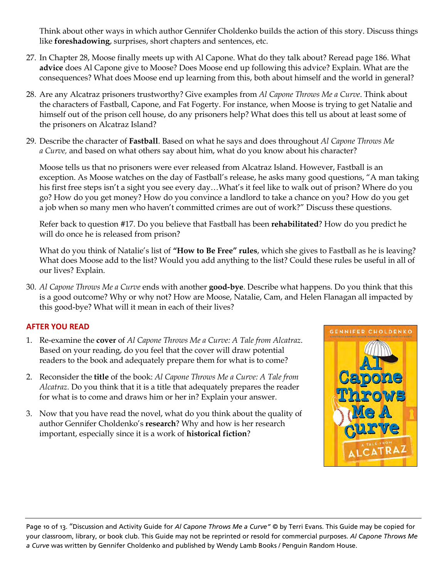Think about other ways in which author Gennifer Choldenko builds the action of this story. Discuss things like **foreshadowing**, surprises, short chapters and sentences, etc.

- 27. In Chapter 28, Moose finally meets up with Al Capone. What do they talk about? Reread page 186. What **advice** does Al Capone give to Moose? Does Moose end up following this advice? Explain. What are the consequences? What does Moose end up learning from this, both about himself and the world in general?
- 28. Are any Alcatraz prisoners trustworthy? Give examples from *Al Capone Throws Me a Curve*. Think about the characters of Fastball, Capone, and Fat Fogerty. For instance, when Moose is trying to get Natalie and himself out of the prison cell house, do any prisoners help? What does this tell us about at least some of the prisoners on Alcatraz Island?
- 29. Describe the character of **Fastball**. Based on what he says and does throughout *Al Capone Throws Me a Curve,* and based on what others say about him, what do you know about his character?

Moose tells us that no prisoners were ever released from Alcatraz Island. However, Fastball is an exception. As Moose watches on the day of Fastball's release, he asks many good questions, "A man taking his first free steps isn't a sight you see every day…What's it feel like to walk out of prison? Where do you go? How do you get money? How do you convince a landlord to take a chance on you? How do you get a job when so many men who haven't committed crimes are out of work?" Discuss these questions.

Refer back to question #17. Do you believe that Fastball has been **rehabilitated**? How do you predict he will do once he is released from prison?

What do you think of Natalie's list of **"How to Be Free" rules**, which she gives to Fastball as he is leaving? What does Moose add to the list? Would you add anything to the list? Could these rules be useful in all of our lives? Explain.

30. *Al Capone Throws Me a Curve* ends with another **good-bye**. Describe what happens. Do you think that this is a good outcome? Why or why not? How are Moose, Natalie, Cam, and Helen Flanagan all impacted by this good-bye? What will it mean in each of their lives?

# **AFTER YOU READ**

- 1. Re-examine the **cover** of *Al Capone Throws Me a Curve: A Tale from Alcatraz*. Based on your reading, do you feel that the cover will draw potential readers to the book and adequately prepare them for what is to come?
- 2. Reconsider the **title** of the book: *Al Capone Throws Me a Curve: A Tale from Alcatraz.* Do you think that it is a title that adequately prepares the reader for what is to come and draws him or her in? Explain your answer.
- 3. Now that you have read the novel, what do you think about the quality of author Gennifer Choldenko's **research**? Why and how is her research important, especially since it is a work of **historical fiction**?



Page 10 of 13. "Discussion and Activity Guide for *Al Capone Throws Me a Curve"* © by Terri Evans. This Guide may be copied for your classroom, library, or book club. This Guide may not be reprinted or resold for commercial purposes. *Al Capone Throws Me a Curve* was written by Gennifer Choldenko and published by Wendy Lamb Books / Penguin Random House.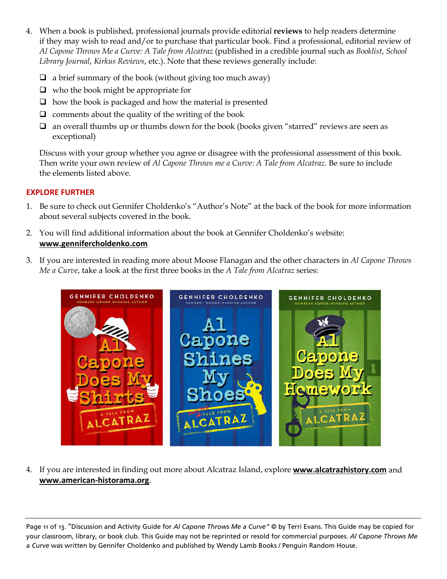- 4. When a book is published, professional journals provide editorial **reviews** to help readers determine if they may wish to read and/or to purchase that particular book. Find a professional, editorial review of *Al Capone Throws Me a Curve: A Tale from Alcatraz* (published in a credible journal such as *Booklist*, *School Library Journal*, *Kirkus Reviews*, etc.). Note that these reviews generally include:
	- $\Box$  a brief summary of the book (without giving too much away)
	- $\Box$  who the book might be appropriate for
	- $\Box$  how the book is packaged and how the material is presented
	- $\Box$  comments about the quality of the writing of the book
	- $\Box$  an overall thumbs up or thumbs down for the book (books given "starred" reviews are seen as exceptional)

Discuss with your group whether you agree or disagree with the professional assessment of this book. Then write your own review of *Al Capone Throws me a Curve: A Tale from Alcatraz.* Be sure to include the elements listed above.

# **EXPLORE FURTHER**

- 1. Be sure to check out Gennifer Choldenko's "Author's Note" at the back of the book for more information about several subjects covered in the book.
- 2. You will find additional information about the book at Gennifer Choldenko's website: **[www.gennifercholdenko.com](https://www.gennifercholdenko.com/)**
- 3. If you are interested in reading more about Moose Flanagan and the other characters in *Al Capone Throws Me a Curve*, take a look at the first three books in the *A Tale from Alcatraz* series:



4. If you are interested in finding out more about Alcatraz Island, explore **[www.alcatrazhistory.com](http://www.alcatrazhistory.com/)** and **[www.american-historama.org](http://www.american-historama.org/1881-1913-maturation-era/alcatraz-prison-history.htm)**.

Page 11 of 13. "Discussion and Activity Guide for *Al Capone Throws Me a Curve"* © by Terri Evans. This Guide may be copied for your classroom, library, or book club. This Guide may not be reprinted or resold for commercial purposes. *Al Capone Throws Me a Curve* was written by Gennifer Choldenko and published by Wendy Lamb Books / Penguin Random House.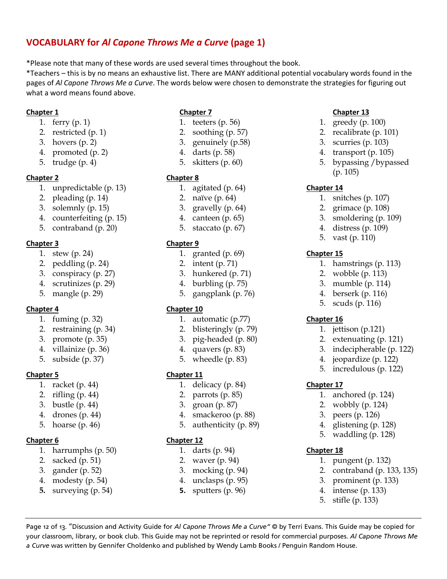# **VOCABULARY for** *Al Capone Throws Me a Curve* **(page 1)**

\*Please note that many of these words are used several times throughout the book.

\*Teachers – this is by no means an exhaustive list. There are MANY additional potential vocabulary words found in the pages of *Al Capone Throws Me a Curve*. The words below were chosen to demonstrate the strategies for figuring out what a word means found above.

#### **Chapter 1**

- 1. ferry (p. 1)
- 2. restricted (p. 1)
- 3. hovers (p. 2)
- 4. promoted (p. 2)
- 5. trudge (p. 4)

#### **Chapter 2**

- 1. unpredictable (p. 13)
- 2. pleading (p. 14)
- 3. solemnly (p. 15)
- 4. counterfeiting (p. 15)
- 5. contraband (p. 20)

#### **Chapter 3**

- 1. stew (p. 24)
- 2. peddling (p. 24)
- 3. conspiracy (p. 27)
- 4. scrutinizes (p. 29)
- 5. mangle (p. 29)

#### **Chapter 4**

- 1. fuming (p. 32)
- 2. restraining (p. 34)
- 3. promote (p. 35)
- 4. villainize (p. 36)
- 5. subside (p. 37)

#### **Chapter 5**

- 1. racket (p. 44)
- 2. rifling (p. 44)
- 3. bustle (p. 44)
- 4. drones (p. 44)
- 5. hoarse (p. 46)

#### **Chapter 6**

- 1. harrumphs (p. 50)
- 2. sacked (p. 51)
- 3. gander (p. 52)
- 4. modesty (p. 54)
- **5.** surveying (p. 54)

### **Chapter 7**

- 1. teeters (p. 56)
- 2. soothing (p. 57)
- 3. genuinely (p.58)
- 4. darts (p. 58)
- 5. skitters (p. 60)

#### **Chapter 8**

- 1. agitated (p. 64)
- 2. naïve (p. 64)
- 3. gravelly (p. 64)
- 4. canteen (p. 65)
- 5. staccato (p. 67)

#### **Chapter 9**

- 1. granted (p. 69)
- 2. intent (p. 71)
- 3. hunkered (p. 71)
- 4. burbling (p. 75)
- 5. gangplank (p. 76)

#### **Chapter 10**

- 1. automatic (p.77)
- 2. blisteringly (p. 79)
- 3. pig-headed (p. 80)
- 4. quavers (p. 83)
- 5. wheedle (p. 83)

#### **Chapter 11**

- 1. delicacy (p. 84)
- 2. parrots (p. 85)
- 3. groan (p. 87)
- 4. smackeroo (p. 88)
- 5. authenticity (p. 89)

#### **Chapter 12**

*a Curve* was written by Gennifer Choldenko and published by Wendy Lamb Books / Penguin Random House.

- 1. darts (p. 94)
- 2. waver (p. 94)
- 3. mocking (p. 94)
- 4. unclasps (p. 95)
- **5.** sputters (p. 96)

Page 12 of 13. "Discussion and Activity Guide for *Al Capone Throws Me a Curve"* © by Terri Evans. This Guide may be copied for your classroom, library, or book club. This Guide may not be reprinted or resold for commercial purposes. *Al Capone Throws Me* 

### **Chapter 13**

- 1. greedy (p. 100)
- 2. recalibrate (p. 101)
- 3. scurries (p. 103)
- 4. transport (p. 105)
- 5. bypassing /bypassed (p. 105)

#### **Chapter 14**

- 1. snitches (p. 107)
- 2. grimace (p. 108)
- 3. smoldering (p. 109)
- 4. distress (p. 109)
- 5. vast (p. 110)

#### **Chapter 15**

- 1. hamstrings (p. 113)
- 2. wobble (p. 113)
- 3. mumble (p. 114)
- 4. berserk (p. 116)
- 5. scuds (p. 116)

#### **Chapter 16**

- 1. jettison (p.121)
- 2. extenuating (p. 121)
- 3. indecipherable (p. 122)
- 4. jeopardize (p. 122)

1. anchored (p. 124) 2. wobbly (p. 124) 3. peers (p. 126) 4. glistening (p. 128) 5. waddling (p. 128)

1. pungent (p. 132)

2. contraband (p. 133, 135) 3. prominent (p. 133) 4. intense (p. 133) 5. stifle (p. 133)

5. incredulous (p. 122)

#### **Chapter 17**

**Chapter 18**